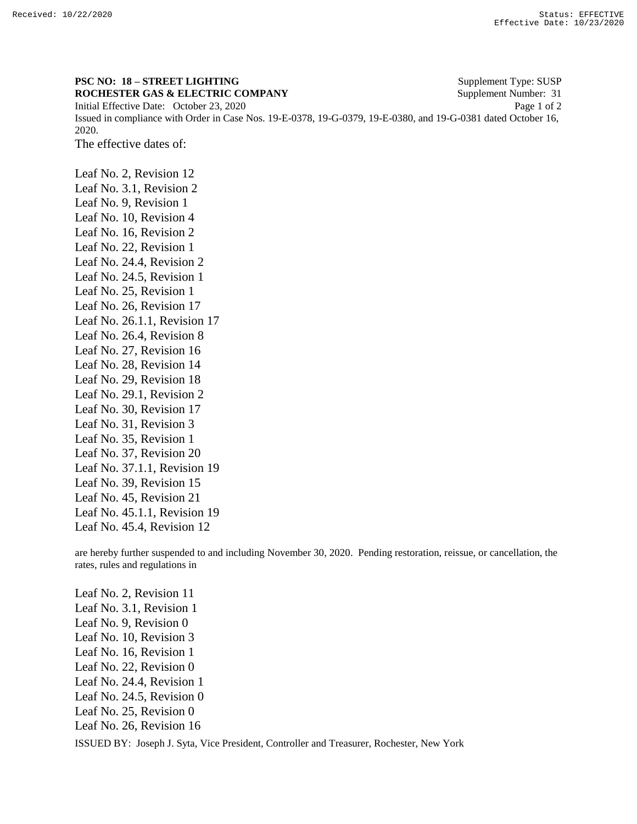## **PSC NO: 18 – STREET LIGHTING** Supplement Type: SUSP **ROCHESTER GAS & ELECTRIC COMPANY** Supplement Number: 31 Initial Effective Date: October 23, 2020 Page 1 of 2 Issued in compliance with Order in Case Nos. 19-E-0378, 19-G-0379, 19-E-0380, and 19-G-0381 dated October 16, 2020.

The effective dates of:

Leaf No. 2, Revision 12 Leaf No. 3.1, Revision 2 Leaf No. 9, Revision 1 Leaf No. 10, Revision 4 Leaf No. 16, Revision 2 Leaf No. 22, Revision 1 Leaf No. 24.4, Revision 2 Leaf No. 24.5, Revision 1 Leaf No. 25, Revision 1 Leaf No. 26, Revision 17 Leaf No. 26.1.1, Revision 17 Leaf No. 26.4, Revision 8 Leaf No. 27, Revision 16 Leaf No. 28, Revision 14 Leaf No. 29, Revision 18 Leaf No. 29.1, Revision 2 Leaf No. 30, Revision 17 Leaf No. 31, Revision 3 Leaf No. 35, Revision 1 Leaf No. 37, Revision 20 Leaf No. 37.1.1, Revision 19 Leaf No. 39, Revision 15 Leaf No. 45, Revision 21 Leaf No. 45.1.1, Revision 19 Leaf No. 45.4, Revision 12

are hereby further suspended to and including November 30, 2020. Pending restoration, reissue, or cancellation, the rates, rules and regulations in

ISSUED BY: Joseph J. Syta, Vice President, Controller and Treasurer, Rochester, New York Leaf No. 2, Revision 11 Leaf No. 3.1, Revision 1 Leaf No. 9, Revision 0 Leaf No. 10, Revision 3 Leaf No. 16, Revision 1 Leaf No. 22, Revision 0 Leaf No. 24.4, Revision 1 Leaf No. 24.5, Revision 0 Leaf No. 25, Revision 0 Leaf No. 26, Revision 16